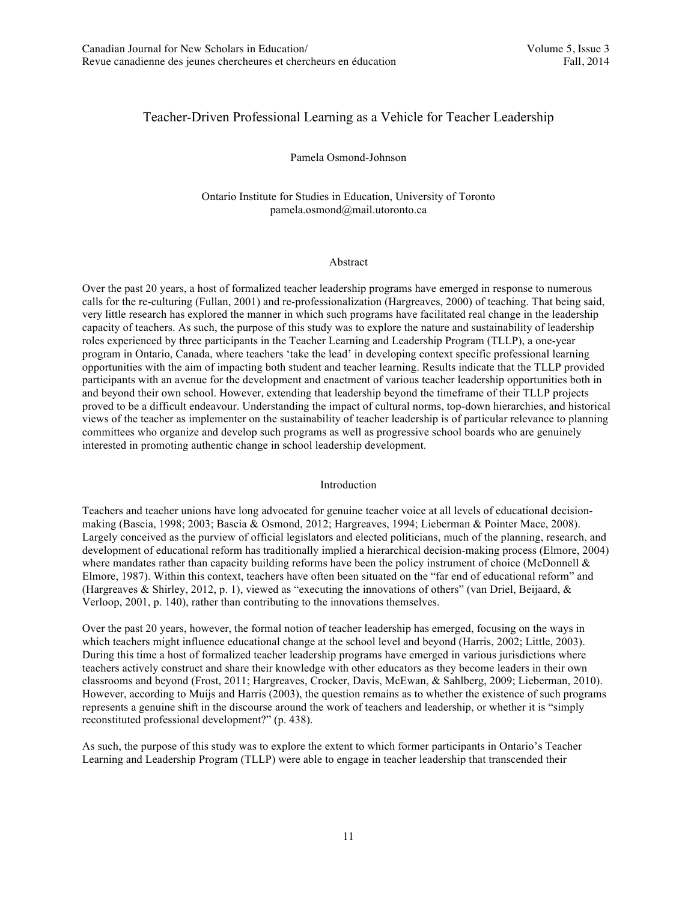# Teacher-Driven Professional Learning as a Vehicle for Teacher Leadership

#### Pamela Osmond-Johnson

Ontario Institute for Studies in Education, University of Toronto pamela.osmond@mail.utoronto.ca

## Abstract

Over the past 20 years, a host of formalized teacher leadership programs have emerged in response to numerous calls for the re-culturing (Fullan, 2001) and re-professionalization (Hargreaves, 2000) of teaching. That being said, very little research has explored the manner in which such programs have facilitated real change in the leadership capacity of teachers. As such, the purpose of this study was to explore the nature and sustainability of leadership roles experienced by three participants in the Teacher Learning and Leadership Program (TLLP), a one-year program in Ontario, Canada, where teachers 'take the lead' in developing context specific professional learning opportunities with the aim of impacting both student and teacher learning. Results indicate that the TLLP provided participants with an avenue for the development and enactment of various teacher leadership opportunities both in and beyond their own school. However, extending that leadership beyond the timeframe of their TLLP projects proved to be a difficult endeavour. Understanding the impact of cultural norms, top-down hierarchies, and historical views of the teacher as implementer on the sustainability of teacher leadership is of particular relevance to planning committees who organize and develop such programs as well as progressive school boards who are genuinely interested in promoting authentic change in school leadership development.

#### Introduction

Teachers and teacher unions have long advocated for genuine teacher voice at all levels of educational decisionmaking (Bascia, 1998; 2003; Bascia & Osmond, 2012; Hargreaves, 1994; Lieberman & Pointer Mace, 2008). Largely conceived as the purview of official legislators and elected politicians, much of the planning, research, and development of educational reform has traditionally implied a hierarchical decision-making process (Elmore, 2004) where mandates rather than capacity building reforms have been the policy instrument of choice (McDonnell & Elmore, 1987). Within this context, teachers have often been situated on the "far end of educational reform" and (Hargreaves & Shirley, 2012, p. 1), viewed as "executing the innovations of others" (van Driel, Beijaard, & Verloop, 2001, p. 140), rather than contributing to the innovations themselves.

Over the past 20 years, however, the formal notion of teacher leadership has emerged, focusing on the ways in which teachers might influence educational change at the school level and beyond (Harris, 2002; Little, 2003). During this time a host of formalized teacher leadership programs have emerged in various jurisdictions where teachers actively construct and share their knowledge with other educators as they become leaders in their own classrooms and beyond (Frost, 2011; Hargreaves, Crocker, Davis, McEwan, & Sahlberg, 2009; Lieberman, 2010). However, according to Muijs and Harris (2003), the question remains as to whether the existence of such programs represents a genuine shift in the discourse around the work of teachers and leadership, or whether it is "simply reconstituted professional development?" (p. 438).

As such, the purpose of this study was to explore the extent to which former participants in Ontario's Teacher Learning and Leadership Program (TLLP) were able to engage in teacher leadership that transcended their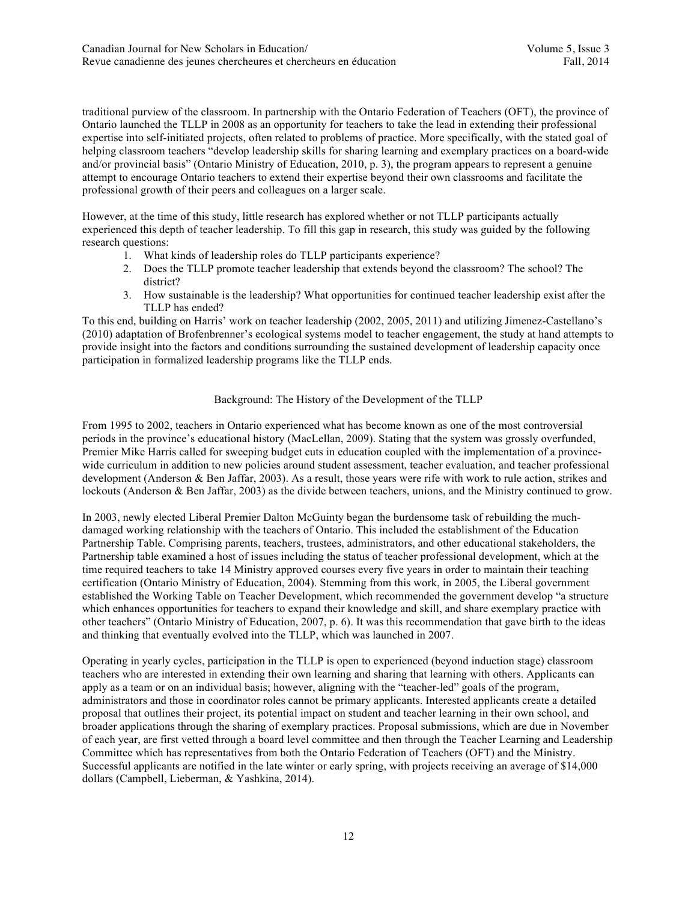traditional purview of the classroom. In partnership with the Ontario Federation of Teachers (OFT), the province of Ontario launched the TLLP in 2008 as an opportunity for teachers to take the lead in extending their professional expertise into self-initiated projects, often related to problems of practice. More specifically, with the stated goal of helping classroom teachers "develop leadership skills for sharing learning and exemplary practices on a board-wide and/or provincial basis" (Ontario Ministry of Education, 2010, p. 3), the program appears to represent a genuine attempt to encourage Ontario teachers to extend their expertise beyond their own classrooms and facilitate the professional growth of their peers and colleagues on a larger scale.

However, at the time of this study, little research has explored whether or not TLLP participants actually experienced this depth of teacher leadership. To fill this gap in research, this study was guided by the following research questions:

- 1. What kinds of leadership roles do TLLP participants experience?
- 2. Does the TLLP promote teacher leadership that extends beyond the classroom? The school? The district?
- 3. How sustainable is the leadership? What opportunities for continued teacher leadership exist after the TLLP has ended?

To this end, building on Harris' work on teacher leadership (2002, 2005, 2011) and utilizing Jimenez-Castellano's (2010) adaptation of Brofenbrenner's ecological systems model to teacher engagement, the study at hand attempts to provide insight into the factors and conditions surrounding the sustained development of leadership capacity once participation in formalized leadership programs like the TLLP ends.

## Background: The History of the Development of the TLLP

From 1995 to 2002, teachers in Ontario experienced what has become known as one of the most controversial periods in the province's educational history (MacLellan, 2009). Stating that the system was grossly overfunded, Premier Mike Harris called for sweeping budget cuts in education coupled with the implementation of a provincewide curriculum in addition to new policies around student assessment, teacher evaluation, and teacher professional development (Anderson & Ben Jaffar, 2003). As a result, those years were rife with work to rule action, strikes and lockouts (Anderson & Ben Jaffar, 2003) as the divide between teachers, unions, and the Ministry continued to grow.

In 2003, newly elected Liberal Premier Dalton McGuinty began the burdensome task of rebuilding the muchdamaged working relationship with the teachers of Ontario. This included the establishment of the Education Partnership Table. Comprising parents, teachers, trustees, administrators, and other educational stakeholders, the Partnership table examined a host of issues including the status of teacher professional development, which at the time required teachers to take 14 Ministry approved courses every five years in order to maintain their teaching certification (Ontario Ministry of Education, 2004). Stemming from this work, in 2005, the Liberal government established the Working Table on Teacher Development, which recommended the government develop "a structure which enhances opportunities for teachers to expand their knowledge and skill, and share exemplary practice with other teachers" (Ontario Ministry of Education, 2007, p. 6). It was this recommendation that gave birth to the ideas and thinking that eventually evolved into the TLLP, which was launched in 2007.

Operating in yearly cycles, participation in the TLLP is open to experienced (beyond induction stage) classroom teachers who are interested in extending their own learning and sharing that learning with others. Applicants can apply as a team or on an individual basis; however, aligning with the "teacher-led" goals of the program, administrators and those in coordinator roles cannot be primary applicants. Interested applicants create a detailed proposal that outlines their project, its potential impact on student and teacher learning in their own school, and broader applications through the sharing of exemplary practices. Proposal submissions, which are due in November of each year, are first vetted through a board level committee and then through the Teacher Learning and Leadership Committee which has representatives from both the Ontario Federation of Teachers (OFT) and the Ministry. Successful applicants are notified in the late winter or early spring, with projects receiving an average of \$14,000 dollars (Campbell, Lieberman, & Yashkina, 2014).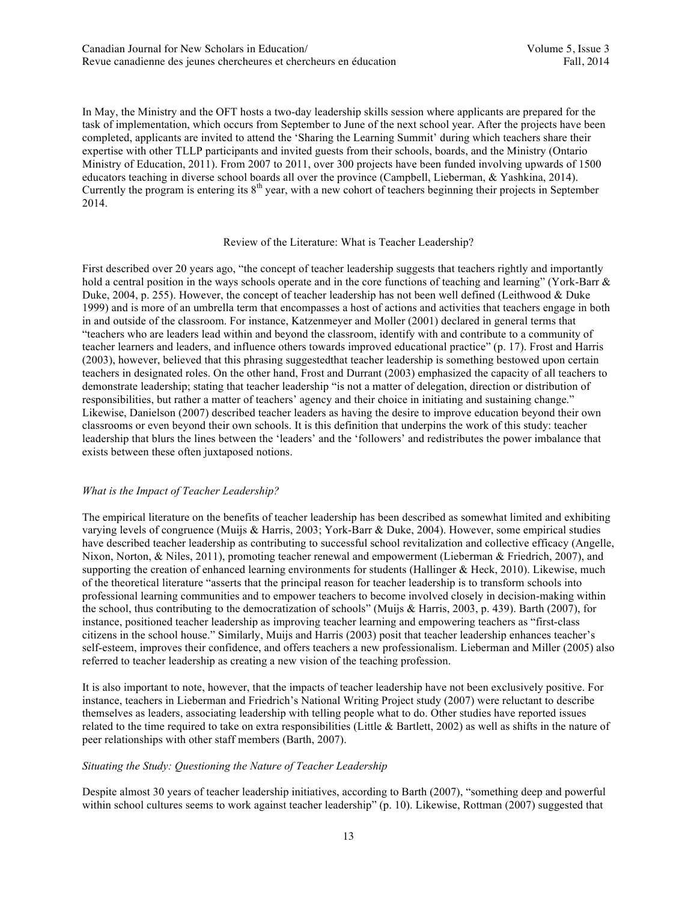In May, the Ministry and the OFT hosts a two-day leadership skills session where applicants are prepared for the task of implementation, which occurs from September to June of the next school year. After the projects have been completed, applicants are invited to attend the 'Sharing the Learning Summit' during which teachers share their expertise with other TLLP participants and invited guests from their schools, boards, and the Ministry (Ontario Ministry of Education, 2011). From 2007 to 2011, over 300 projects have been funded involving upwards of 1500 educators teaching in diverse school boards all over the province (Campbell, Lieberman, & Yashkina, 2014). Currently the program is entering its  $8<sup>th</sup>$  year, with a new cohort of teachers beginning their projects in September 2014.

# Review of the Literature: What is Teacher Leadership?

First described over 20 years ago, "the concept of teacher leadership suggests that teachers rightly and importantly hold a central position in the ways schools operate and in the core functions of teaching and learning" (York-Barr & Duke, 2004, p. 255). However, the concept of teacher leadership has not been well defined (Leithwood & Duke 1999) and is more of an umbrella term that encompasses a host of actions and activities that teachers engage in both in and outside of the classroom. For instance, Katzenmeyer and Moller (2001) declared in general terms that "teachers who are leaders lead within and beyond the classroom, identify with and contribute to a community of teacher learners and leaders, and influence others towards improved educational practice" (p. 17). Frost and Harris (2003), however, believed that this phrasing suggestedthat teacher leadership is something bestowed upon certain teachers in designated roles. On the other hand, Frost and Durrant (2003) emphasized the capacity of all teachers to demonstrate leadership; stating that teacher leadership "is not a matter of delegation, direction or distribution of responsibilities, but rather a matter of teachers' agency and their choice in initiating and sustaining change." Likewise, Danielson (2007) described teacher leaders as having the desire to improve education beyond their own classrooms or even beyond their own schools. It is this definition that underpins the work of this study: teacher leadership that blurs the lines between the 'leaders' and the 'followers' and redistributes the power imbalance that exists between these often juxtaposed notions.

### *What is the Impact of Teacher Leadership?*

The empirical literature on the benefits of teacher leadership has been described as somewhat limited and exhibiting varying levels of congruence (Muijs & Harris, 2003; York-Barr & Duke, 2004). However, some empirical studies have described teacher leadership as contributing to successful school revitalization and collective efficacy (Angelle, Nixon, Norton, & Niles, 2011), promoting teacher renewal and empowerment (Lieberman & Friedrich, 2007), and supporting the creation of enhanced learning environments for students (Hallinger & Heck, 2010). Likewise, much of the theoretical literature "asserts that the principal reason for teacher leadership is to transform schools into professional learning communities and to empower teachers to become involved closely in decision-making within the school, thus contributing to the democratization of schools" (Muijs & Harris, 2003, p. 439). Barth (2007), for instance, positioned teacher leadership as improving teacher learning and empowering teachers as "first-class citizens in the school house." Similarly, Muijs and Harris (2003) posit that teacher leadership enhances teacher's self-esteem, improves their confidence, and offers teachers a new professionalism. Lieberman and Miller (2005) also referred to teacher leadership as creating a new vision of the teaching profession.

It is also important to note, however, that the impacts of teacher leadership have not been exclusively positive. For instance, teachers in Lieberman and Friedrich's National Writing Project study (2007) were reluctant to describe themselves as leaders, associating leadership with telling people what to do. Other studies have reported issues related to the time required to take on extra responsibilities (Little & Bartlett, 2002) as well as shifts in the nature of peer relationships with other staff members (Barth, 2007).

### *Situating the Study: Questioning the Nature of Teacher Leadership*

Despite almost 30 years of teacher leadership initiatives, according to Barth (2007), "something deep and powerful within school cultures seems to work against teacher leadership" (p. 10). Likewise, Rottman (2007) suggested that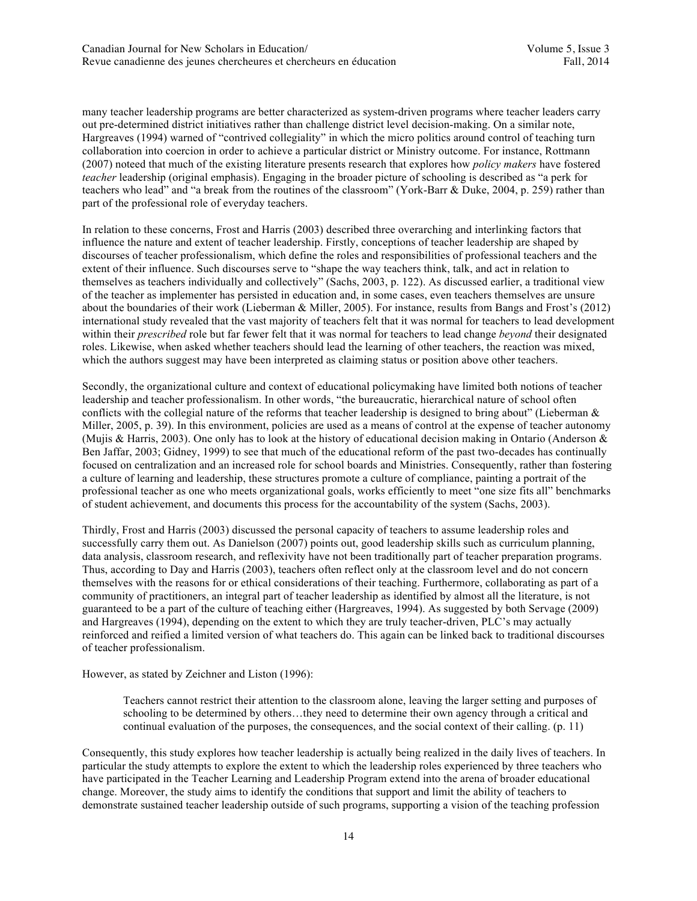many teacher leadership programs are better characterized as system-driven programs where teacher leaders carry out pre-determined district initiatives rather than challenge district level decision-making. On a similar note, Hargreaves (1994) warned of "contrived collegiality" in which the micro politics around control of teaching turn collaboration into coercion in order to achieve a particular district or Ministry outcome. For instance, Rottmann (2007) noteed that much of the existing literature presents research that explores how *policy makers* have fostered *teacher* leadership (original emphasis). Engaging in the broader picture of schooling is described as "a perk for teachers who lead" and "a break from the routines of the classroom" (York-Barr & Duke, 2004, p. 259) rather than part of the professional role of everyday teachers.

In relation to these concerns, Frost and Harris (2003) described three overarching and interlinking factors that influence the nature and extent of teacher leadership. Firstly, conceptions of teacher leadership are shaped by discourses of teacher professionalism, which define the roles and responsibilities of professional teachers and the extent of their influence. Such discourses serve to "shape the way teachers think, talk, and act in relation to themselves as teachers individually and collectively" (Sachs, 2003, p. 122). As discussed earlier, a traditional view of the teacher as implementer has persisted in education and, in some cases, even teachers themselves are unsure about the boundaries of their work (Lieberman & Miller, 2005). For instance, results from Bangs and Frost's (2012) international study revealed that the vast majority of teachers felt that it was normal for teachers to lead development within their *prescribed* role but far fewer felt that it was normal for teachers to lead change *beyond* their designated roles. Likewise, when asked whether teachers should lead the learning of other teachers, the reaction was mixed, which the authors suggest may have been interpreted as claiming status or position above other teachers.

Secondly, the organizational culture and context of educational policymaking have limited both notions of teacher leadership and teacher professionalism. In other words, "the bureaucratic, hierarchical nature of school often conflicts with the collegial nature of the reforms that teacher leadership is designed to bring about" (Lieberman & Miller, 2005, p. 39). In this environment, policies are used as a means of control at the expense of teacher autonomy (Mujis & Harris, 2003). One only has to look at the history of educational decision making in Ontario (Anderson & Ben Jaffar, 2003; Gidney, 1999) to see that much of the educational reform of the past two-decades has continually focused on centralization and an increased role for school boards and Ministries. Consequently, rather than fostering a culture of learning and leadership, these structures promote a culture of compliance, painting a portrait of the professional teacher as one who meets organizational goals, works efficiently to meet "one size fits all" benchmarks of student achievement, and documents this process for the accountability of the system (Sachs, 2003).

Thirdly, Frost and Harris (2003) discussed the personal capacity of teachers to assume leadership roles and successfully carry them out. As Danielson (2007) points out, good leadership skills such as curriculum planning, data analysis, classroom research, and reflexivity have not been traditionally part of teacher preparation programs. Thus, according to Day and Harris (2003), teachers often reflect only at the classroom level and do not concern themselves with the reasons for or ethical considerations of their teaching. Furthermore, collaborating as part of a community of practitioners, an integral part of teacher leadership as identified by almost all the literature, is not guaranteed to be a part of the culture of teaching either (Hargreaves, 1994). As suggested by both Servage (2009) and Hargreaves (1994), depending on the extent to which they are truly teacher-driven, PLC's may actually reinforced and reified a limited version of what teachers do. This again can be linked back to traditional discourses of teacher professionalism.

However, as stated by Zeichner and Liston (1996):

Teachers cannot restrict their attention to the classroom alone, leaving the larger setting and purposes of schooling to be determined by others…they need to determine their own agency through a critical and continual evaluation of the purposes, the consequences, and the social context of their calling. (p. 11)

Consequently, this study explores how teacher leadership is actually being realized in the daily lives of teachers. In particular the study attempts to explore the extent to which the leadership roles experienced by three teachers who have participated in the Teacher Learning and Leadership Program extend into the arena of broader educational change. Moreover, the study aims to identify the conditions that support and limit the ability of teachers to demonstrate sustained teacher leadership outside of such programs, supporting a vision of the teaching profession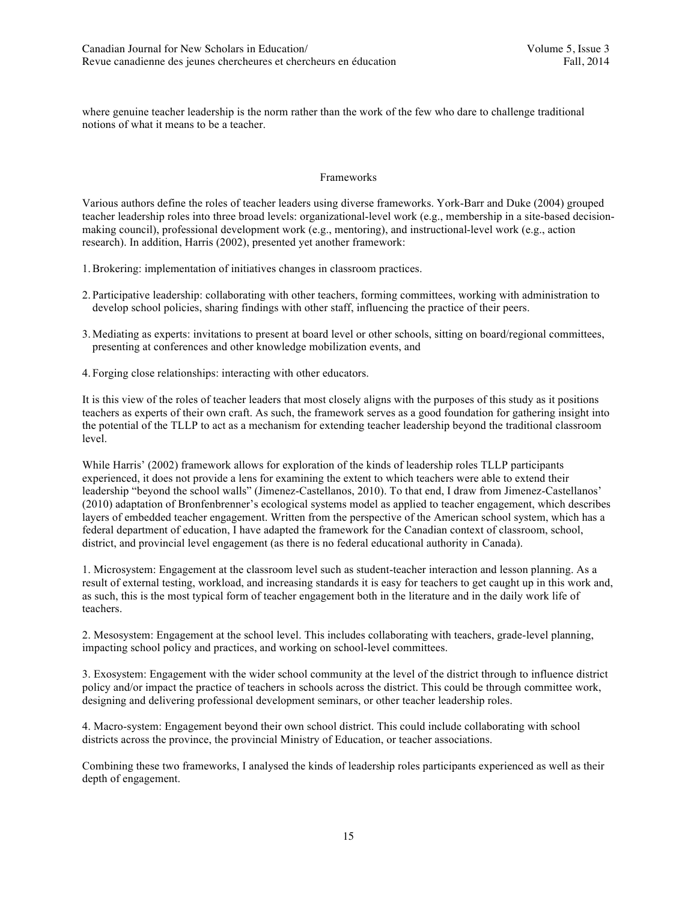where genuine teacher leadership is the norm rather than the work of the few who dare to challenge traditional notions of what it means to be a teacher.

#### Frameworks

Various authors define the roles of teacher leaders using diverse frameworks. York-Barr and Duke (2004) grouped teacher leadership roles into three broad levels: organizational-level work (e.g., membership in a site-based decisionmaking council), professional development work (e.g., mentoring), and instructional-level work (e.g., action research). In addition, Harris (2002), presented yet another framework:

- 1.Brokering: implementation of initiatives changes in classroom practices.
- 2. Participative leadership: collaborating with other teachers, forming committees, working with administration to develop school policies, sharing findings with other staff, influencing the practice of their peers.
- 3. Mediating as experts: invitations to present at board level or other schools, sitting on board/regional committees, presenting at conferences and other knowledge mobilization events, and
- 4. Forging close relationships: interacting with other educators.

It is this view of the roles of teacher leaders that most closely aligns with the purposes of this study as it positions teachers as experts of their own craft. As such, the framework serves as a good foundation for gathering insight into the potential of the TLLP to act as a mechanism for extending teacher leadership beyond the traditional classroom level.

While Harris' (2002) framework allows for exploration of the kinds of leadership roles TLLP participants experienced, it does not provide a lens for examining the extent to which teachers were able to extend their leadership "beyond the school walls" (Jimenez-Castellanos, 2010). To that end, I draw from Jimenez-Castellanos' (2010) adaptation of Bronfenbrenner's ecological systems model as applied to teacher engagement, which describes layers of embedded teacher engagement. Written from the perspective of the American school system, which has a federal department of education, I have adapted the framework for the Canadian context of classroom, school, district, and provincial level engagement (as there is no federal educational authority in Canada).

1. Microsystem: Engagement at the classroom level such as student-teacher interaction and lesson planning. As a result of external testing, workload, and increasing standards it is easy for teachers to get caught up in this work and, as such, this is the most typical form of teacher engagement both in the literature and in the daily work life of teachers.

2. Mesosystem: Engagement at the school level. This includes collaborating with teachers, grade-level planning, impacting school policy and practices, and working on school-level committees.

3. Exosystem: Engagement with the wider school community at the level of the district through to influence district policy and/or impact the practice of teachers in schools across the district. This could be through committee work, designing and delivering professional development seminars, or other teacher leadership roles.

4. Macro-system: Engagement beyond their own school district. This could include collaborating with school districts across the province, the provincial Ministry of Education, or teacher associations.

Combining these two frameworks, I analysed the kinds of leadership roles participants experienced as well as their depth of engagement.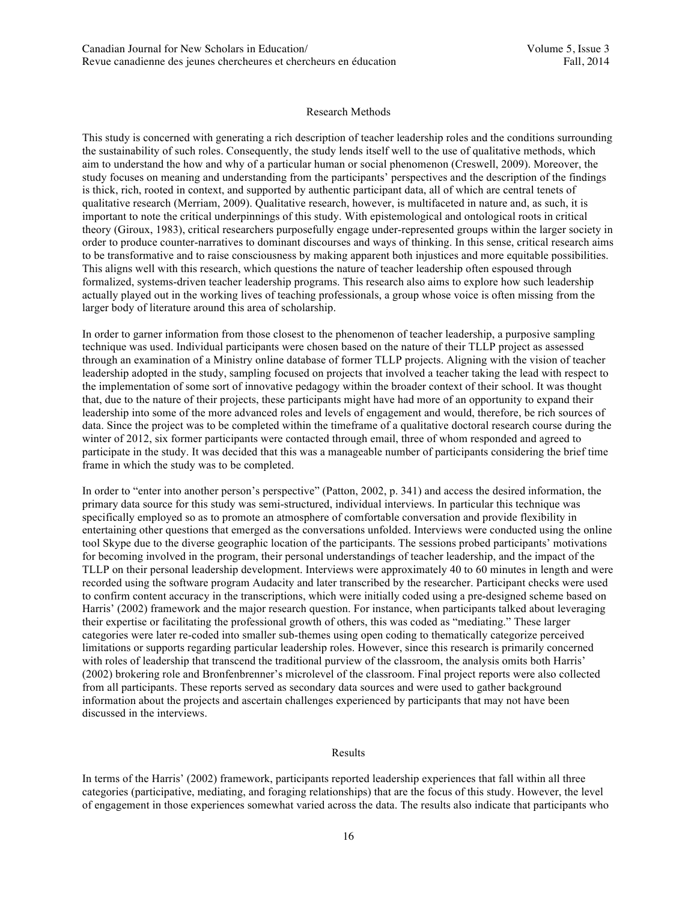#### Research Methods

This study is concerned with generating a rich description of teacher leadership roles and the conditions surrounding the sustainability of such roles. Consequently, the study lends itself well to the use of qualitative methods, which aim to understand the how and why of a particular human or social phenomenon (Creswell, 2009). Moreover, the study focuses on meaning and understanding from the participants' perspectives and the description of the findings is thick, rich, rooted in context, and supported by authentic participant data, all of which are central tenets of qualitative research (Merriam, 2009). Qualitative research, however, is multifaceted in nature and, as such, it is important to note the critical underpinnings of this study. With epistemological and ontological roots in critical theory (Giroux, 1983), critical researchers purposefully engage under-represented groups within the larger society in order to produce counter-narratives to dominant discourses and ways of thinking. In this sense, critical research aims to be transformative and to raise consciousness by making apparent both injustices and more equitable possibilities. This aligns well with this research, which questions the nature of teacher leadership often espoused through formalized, systems-driven teacher leadership programs. This research also aims to explore how such leadership actually played out in the working lives of teaching professionals, a group whose voice is often missing from the larger body of literature around this area of scholarship.

In order to garner information from those closest to the phenomenon of teacher leadership, a purposive sampling technique was used. Individual participants were chosen based on the nature of their TLLP project as assessed through an examination of a Ministry online database of former TLLP projects. Aligning with the vision of teacher leadership adopted in the study, sampling focused on projects that involved a teacher taking the lead with respect to the implementation of some sort of innovative pedagogy within the broader context of their school. It was thought that, due to the nature of their projects, these participants might have had more of an opportunity to expand their leadership into some of the more advanced roles and levels of engagement and would, therefore, be rich sources of data. Since the project was to be completed within the timeframe of a qualitative doctoral research course during the winter of 2012, six former participants were contacted through email, three of whom responded and agreed to participate in the study. It was decided that this was a manageable number of participants considering the brief time frame in which the study was to be completed.

In order to "enter into another person's perspective" (Patton, 2002, p. 341) and access the desired information, the primary data source for this study was semi-structured, individual interviews. In particular this technique was specifically employed so as to promote an atmosphere of comfortable conversation and provide flexibility in entertaining other questions that emerged as the conversations unfolded. Interviews were conducted using the online tool Skype due to the diverse geographic location of the participants. The sessions probed participants' motivations for becoming involved in the program, their personal understandings of teacher leadership, and the impact of the TLLP on their personal leadership development. Interviews were approximately 40 to 60 minutes in length and were recorded using the software program Audacity and later transcribed by the researcher. Participant checks were used to confirm content accuracy in the transcriptions, which were initially coded using a pre-designed scheme based on Harris' (2002) framework and the major research question. For instance, when participants talked about leveraging their expertise or facilitating the professional growth of others, this was coded as "mediating." These larger categories were later re-coded into smaller sub-themes using open coding to thematically categorize perceived limitations or supports regarding particular leadership roles. However, since this research is primarily concerned with roles of leadership that transcend the traditional purview of the classroom, the analysis omits both Harris' (2002) brokering role and Bronfenbrenner's microlevel of the classroom. Final project reports were also collected from all participants. These reports served as secondary data sources and were used to gather background information about the projects and ascertain challenges experienced by participants that may not have been discussed in the interviews.

#### Results

In terms of the Harris' (2002) framework, participants reported leadership experiences that fall within all three categories (participative, mediating, and foraging relationships) that are the focus of this study. However, the level of engagement in those experiences somewhat varied across the data. The results also indicate that participants who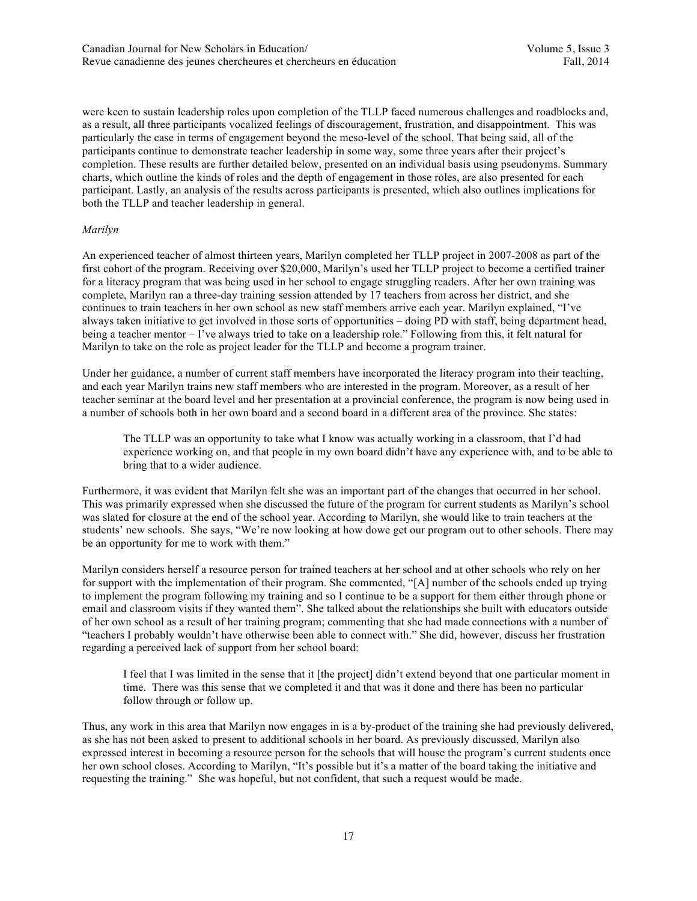were keen to sustain leadership roles upon completion of the TLLP faced numerous challenges and roadblocks and, as a result, all three participants vocalized feelings of discouragement, frustration, and disappointment. This was particularly the case in terms of engagement beyond the meso-level of the school. That being said, all of the participants continue to demonstrate teacher leadership in some way, some three years after their project's completion. These results are further detailed below, presented on an individual basis using pseudonyms. Summary charts, which outline the kinds of roles and the depth of engagement in those roles, are also presented for each participant. Lastly, an analysis of the results across participants is presented, which also outlines implications for both the TLLP and teacher leadership in general.

# *Marilyn*

An experienced teacher of almost thirteen years, Marilyn completed her TLLP project in 2007-2008 as part of the first cohort of the program. Receiving over \$20,000, Marilyn's used her TLLP project to become a certified trainer for a literacy program that was being used in her school to engage struggling readers. After her own training was complete, Marilyn ran a three-day training session attended by 17 teachers from across her district, and she continues to train teachers in her own school as new staff members arrive each year. Marilyn explained, "I've always taken initiative to get involved in those sorts of opportunities – doing PD with staff, being department head, being a teacher mentor – I've always tried to take on a leadership role." Following from this, it felt natural for Marilyn to take on the role as project leader for the TLLP and become a program trainer.

Under her guidance, a number of current staff members have incorporated the literacy program into their teaching, and each year Marilyn trains new staff members who are interested in the program. Moreover, as a result of her teacher seminar at the board level and her presentation at a provincial conference, the program is now being used in a number of schools both in her own board and a second board in a different area of the province. She states:

The TLLP was an opportunity to take what I know was actually working in a classroom, that I'd had experience working on, and that people in my own board didn't have any experience with, and to be able to bring that to a wider audience.

Furthermore, it was evident that Marilyn felt she was an important part of the changes that occurred in her school. This was primarily expressed when she discussed the future of the program for current students as Marilyn's school was slated for closure at the end of the school year. According to Marilyn, she would like to train teachers at the students' new schools. She says, "We're now looking at how dowe get our program out to other schools. There may be an opportunity for me to work with them."

Marilyn considers herself a resource person for trained teachers at her school and at other schools who rely on her for support with the implementation of their program. She commented, "[A] number of the schools ended up trying to implement the program following my training and so I continue to be a support for them either through phone or email and classroom visits if they wanted them". She talked about the relationships she built with educators outside of her own school as a result of her training program; commenting that she had made connections with a number of "teachers I probably wouldn't have otherwise been able to connect with." She did, however, discuss her frustration regarding a perceived lack of support from her school board:

I feel that I was limited in the sense that it [the project] didn't extend beyond that one particular moment in time. There was this sense that we completed it and that was it done and there has been no particular follow through or follow up.

Thus, any work in this area that Marilyn now engages in is a by-product of the training she had previously delivered, as she has not been asked to present to additional schools in her board. As previously discussed, Marilyn also expressed interest in becoming a resource person for the schools that will house the program's current students once her own school closes. According to Marilyn, "It's possible but it's a matter of the board taking the initiative and requesting the training." She was hopeful, but not confident, that such a request would be made.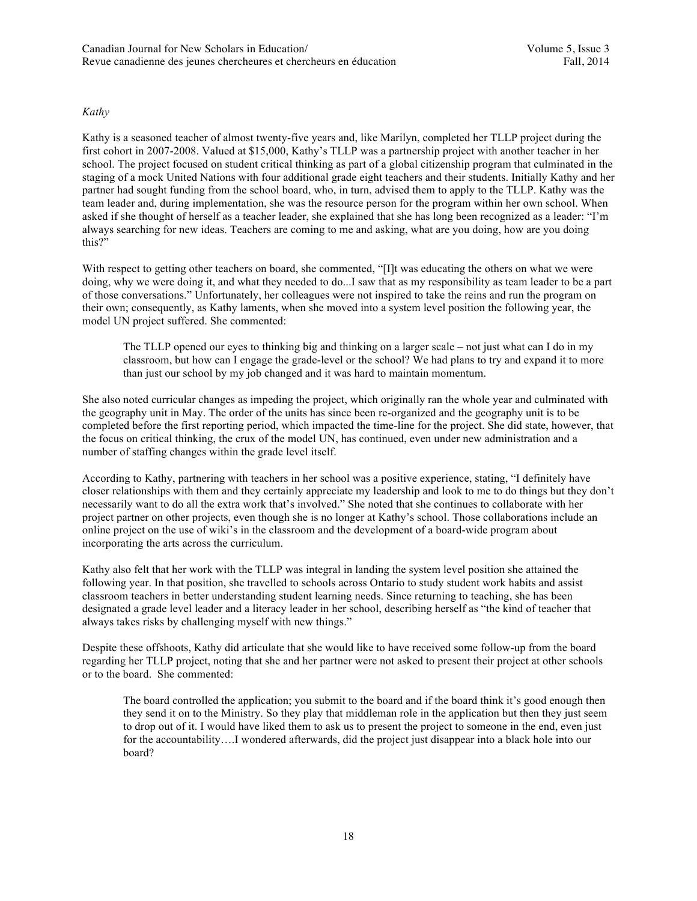# *Kathy*

Kathy is a seasoned teacher of almost twenty-five years and, like Marilyn, completed her TLLP project during the first cohort in 2007-2008. Valued at \$15,000, Kathy's TLLP was a partnership project with another teacher in her school. The project focused on student critical thinking as part of a global citizenship program that culminated in the staging of a mock United Nations with four additional grade eight teachers and their students. Initially Kathy and her partner had sought funding from the school board, who, in turn, advised them to apply to the TLLP. Kathy was the team leader and, during implementation, she was the resource person for the program within her own school. When asked if she thought of herself as a teacher leader, she explained that she has long been recognized as a leader: "I'm always searching for new ideas. Teachers are coming to me and asking, what are you doing, how are you doing this?"

With respect to getting other teachers on board, she commented, "[I]t was educating the others on what we were doing, why we were doing it, and what they needed to do...I saw that as my responsibility as team leader to be a part of those conversations." Unfortunately, her colleagues were not inspired to take the reins and run the program on their own; consequently, as Kathy laments, when she moved into a system level position the following year, the model UN project suffered. She commented:

The TLLP opened our eyes to thinking big and thinking on a larger scale – not just what can I do in my classroom, but how can I engage the grade-level or the school? We had plans to try and expand it to more than just our school by my job changed and it was hard to maintain momentum.

She also noted curricular changes as impeding the project, which originally ran the whole year and culminated with the geography unit in May. The order of the units has since been re-organized and the geography unit is to be completed before the first reporting period, which impacted the time-line for the project. She did state, however, that the focus on critical thinking, the crux of the model UN, has continued, even under new administration and a number of staffing changes within the grade level itself.

According to Kathy, partnering with teachers in her school was a positive experience, stating, "I definitely have closer relationships with them and they certainly appreciate my leadership and look to me to do things but they don't necessarily want to do all the extra work that's involved." She noted that she continues to collaborate with her project partner on other projects, even though she is no longer at Kathy's school. Those collaborations include an online project on the use of wiki's in the classroom and the development of a board-wide program about incorporating the arts across the curriculum.

Kathy also felt that her work with the TLLP was integral in landing the system level position she attained the following year. In that position, she travelled to schools across Ontario to study student work habits and assist classroom teachers in better understanding student learning needs. Since returning to teaching, she has been designated a grade level leader and a literacy leader in her school, describing herself as "the kind of teacher that always takes risks by challenging myself with new things."

Despite these offshoots, Kathy did articulate that she would like to have received some follow-up from the board regarding her TLLP project, noting that she and her partner were not asked to present their project at other schools or to the board. She commented:

The board controlled the application; you submit to the board and if the board think it's good enough then they send it on to the Ministry. So they play that middleman role in the application but then they just seem to drop out of it. I would have liked them to ask us to present the project to someone in the end, even just for the accountability….I wondered afterwards, did the project just disappear into a black hole into our board?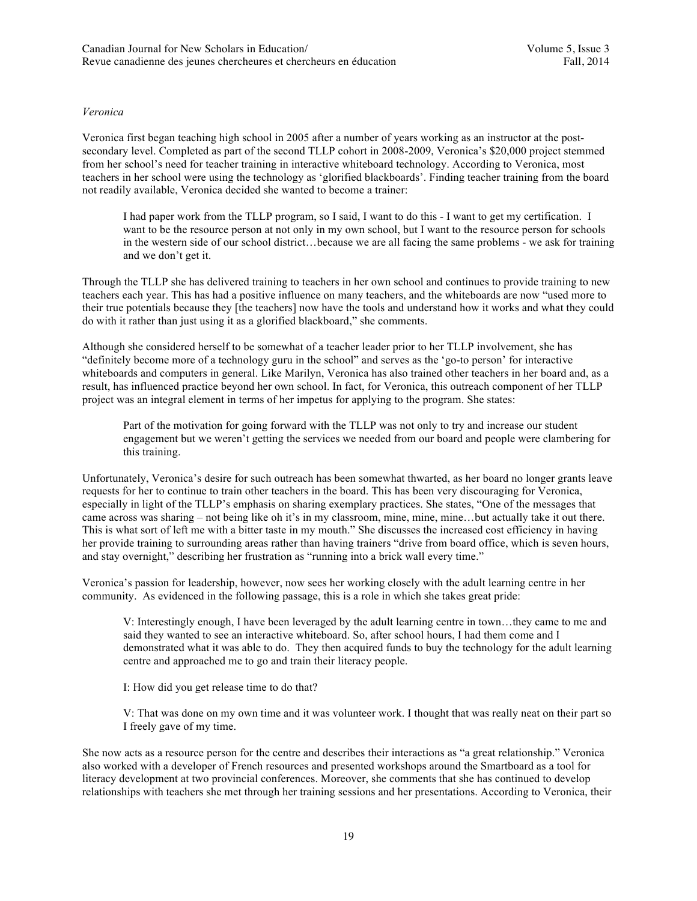# *Veronica*

Veronica first began teaching high school in 2005 after a number of years working as an instructor at the postsecondary level. Completed as part of the second TLLP cohort in 2008-2009, Veronica's \$20,000 project stemmed from her school's need for teacher training in interactive whiteboard technology. According to Veronica, most teachers in her school were using the technology as 'glorified blackboards'. Finding teacher training from the board not readily available, Veronica decided she wanted to become a trainer:

I had paper work from the TLLP program, so I said, I want to do this - I want to get my certification. I want to be the resource person at not only in my own school, but I want to the resource person for schools in the western side of our school district…because we are all facing the same problems - we ask for training and we don't get it.

Through the TLLP she has delivered training to teachers in her own school and continues to provide training to new teachers each year. This has had a positive influence on many teachers, and the whiteboards are now "used more to their true potentials because they [the teachers] now have the tools and understand how it works and what they could do with it rather than just using it as a glorified blackboard," she comments.

Although she considered herself to be somewhat of a teacher leader prior to her TLLP involvement, she has "definitely become more of a technology guru in the school" and serves as the 'go-to person' for interactive whiteboards and computers in general. Like Marilyn, Veronica has also trained other teachers in her board and, as a result, has influenced practice beyond her own school. In fact, for Veronica, this outreach component of her TLLP project was an integral element in terms of her impetus for applying to the program. She states:

Part of the motivation for going forward with the TLLP was not only to try and increase our student engagement but we weren't getting the services we needed from our board and people were clambering for this training.

Unfortunately, Veronica's desire for such outreach has been somewhat thwarted, as her board no longer grants leave requests for her to continue to train other teachers in the board. This has been very discouraging for Veronica, especially in light of the TLLP's emphasis on sharing exemplary practices. She states, "One of the messages that came across was sharing – not being like oh it's in my classroom, mine, mine, mine…but actually take it out there. This is what sort of left me with a bitter taste in my mouth." She discusses the increased cost efficiency in having her provide training to surrounding areas rather than having trainers "drive from board office, which is seven hours, and stay overnight," describing her frustration as "running into a brick wall every time."

Veronica's passion for leadership, however, now sees her working closely with the adult learning centre in her community. As evidenced in the following passage, this is a role in which she takes great pride:

V: Interestingly enough, I have been leveraged by the adult learning centre in town…they came to me and said they wanted to see an interactive whiteboard. So, after school hours, I had them come and I demonstrated what it was able to do. They then acquired funds to buy the technology for the adult learning centre and approached me to go and train their literacy people.

I: How did you get release time to do that?

V: That was done on my own time and it was volunteer work. I thought that was really neat on their part so I freely gave of my time.

She now acts as a resource person for the centre and describes their interactions as "a great relationship." Veronica also worked with a developer of French resources and presented workshops around the Smartboard as a tool for literacy development at two provincial conferences. Moreover, she comments that she has continued to develop relationships with teachers she met through her training sessions and her presentations. According to Veronica, their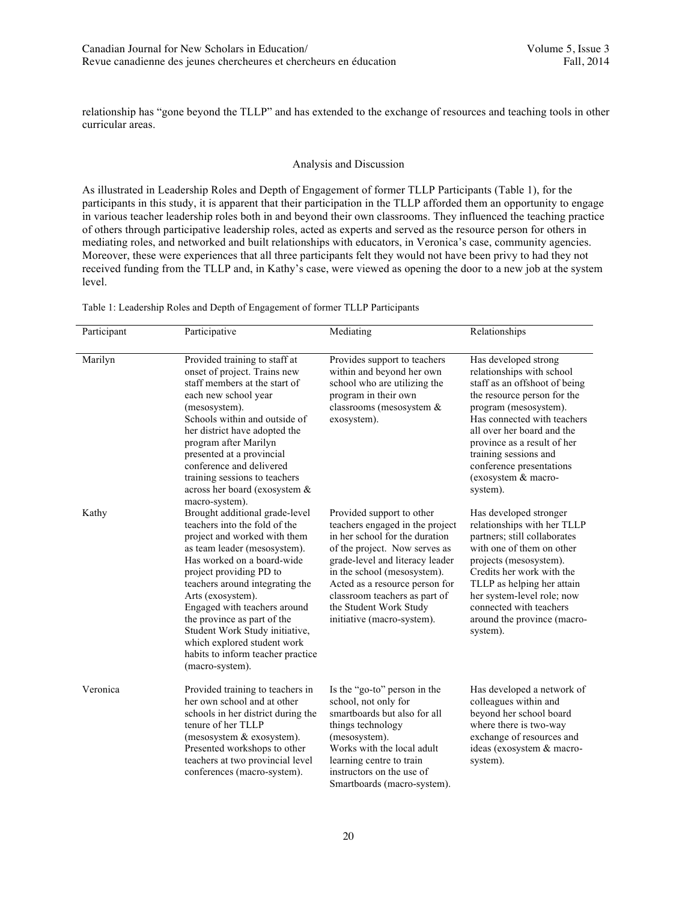relationship has "gone beyond the TLLP" and has extended to the exchange of resources and teaching tools in other curricular areas.

### Analysis and Discussion

As illustrated in Leadership Roles and Depth of Engagement of former TLLP Participants (Table 1), for the participants in this study, it is apparent that their participation in the TLLP afforded them an opportunity to engage in various teacher leadership roles both in and beyond their own classrooms. They influenced the teaching practice of others through participative leadership roles, acted as experts and served as the resource person for others in mediating roles, and networked and built relationships with educators, in Veronica's case, community agencies. Moreover, these were experiences that all three participants felt they would not have been privy to had they not received funding from the TLLP and, in Kathy's case, were viewed as opening the door to a new job at the system level.

| Participant | Participative                                                                                                                                                                                                                                                                                                                                                                                                                            | Mediating                                                                                                                                                                                                                                                                                                                    | Relationships                                                                                                                                                                                                                                                                                                                  |
|-------------|------------------------------------------------------------------------------------------------------------------------------------------------------------------------------------------------------------------------------------------------------------------------------------------------------------------------------------------------------------------------------------------------------------------------------------------|------------------------------------------------------------------------------------------------------------------------------------------------------------------------------------------------------------------------------------------------------------------------------------------------------------------------------|--------------------------------------------------------------------------------------------------------------------------------------------------------------------------------------------------------------------------------------------------------------------------------------------------------------------------------|
| Marilyn     | Provided training to staff at<br>onset of project. Trains new<br>staff members at the start of<br>each new school year<br>(mesosystem).<br>Schools within and outside of<br>her district have adopted the<br>program after Marilyn<br>presented at a provincial<br>conference and delivered<br>training sessions to teachers<br>across her board (exosystem &<br>macro-system).                                                          | Provides support to teachers<br>within and beyond her own<br>school who are utilizing the<br>program in their own<br>classrooms (mesosystem &<br>exosystem).                                                                                                                                                                 | Has developed strong<br>relationships with school<br>staff as an offshoot of being<br>the resource person for the<br>program (mesosystem).<br>Has connected with teachers<br>all over her board and the<br>province as a result of her<br>training sessions and<br>conference presentations<br>(exosystem & macro-<br>system). |
| Kathy       | Brought additional grade-level<br>teachers into the fold of the<br>project and worked with them<br>as team leader (mesosystem).<br>Has worked on a board-wide<br>project providing PD to<br>teachers around integrating the<br>Arts (exosystem).<br>Engaged with teachers around<br>the province as part of the<br>Student Work Study initiative,<br>which explored student work<br>habits to inform teacher practice<br>(macro-system). | Provided support to other<br>teachers engaged in the project<br>in her school for the duration<br>of the project. Now serves as<br>grade-level and literacy leader<br>in the school (mesosystem).<br>Acted as a resource person for<br>classroom teachers as part of<br>the Student Work Study<br>initiative (macro-system). | Has developed stronger<br>relationships with her TLLP<br>partners; still collaborates<br>with one of them on other<br>projects (mesosystem).<br>Credits her work with the<br>TLLP as helping her attain<br>her system-level role; now<br>connected with teachers<br>around the province (macro-<br>system).                    |
| Veronica    | Provided training to teachers in<br>her own school and at other<br>schools in her district during the<br>tenure of her TLLP<br>(mesosystem & exosystem).<br>Presented workshops to other<br>teachers at two provincial level<br>conferences (macro-system).                                                                                                                                                                              | Is the "go-to" person in the<br>school, not only for<br>smartboards but also for all<br>things technology<br>(mesosystem).<br>Works with the local adult<br>learning centre to train<br>instructors on the use of<br>Smartboards (macro-system).                                                                             | Has developed a network of<br>colleagues within and<br>beyond her school board<br>where there is two-way<br>exchange of resources and<br>ideas (exosystem & macro-<br>system).                                                                                                                                                 |

Table 1: Leadership Roles and Depth of Engagement of former TLLP Participants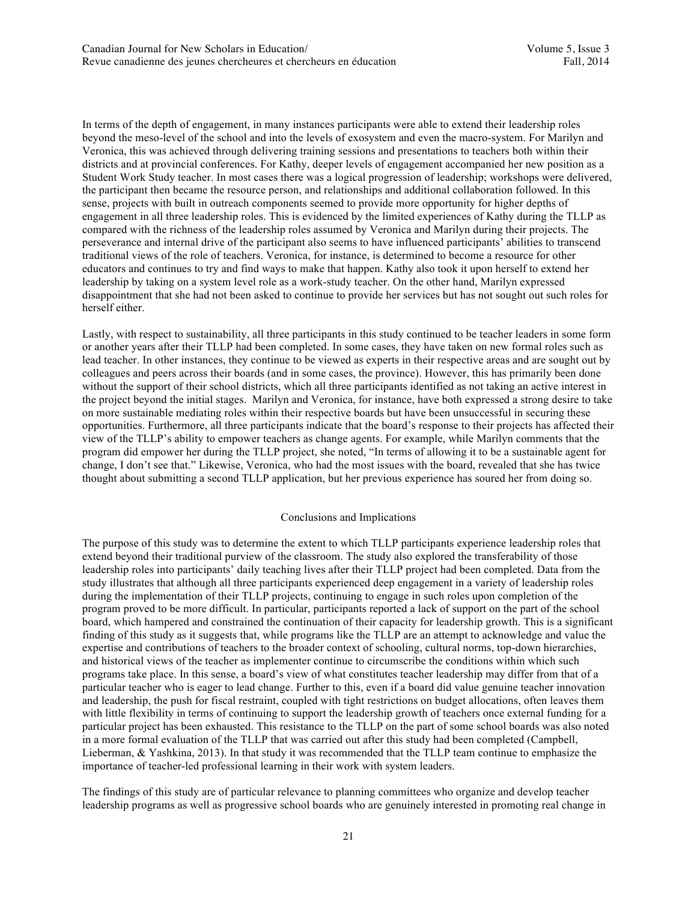In terms of the depth of engagement, in many instances participants were able to extend their leadership roles beyond the meso-level of the school and into the levels of exosystem and even the macro-system. For Marilyn and Veronica, this was achieved through delivering training sessions and presentations to teachers both within their districts and at provincial conferences. For Kathy, deeper levels of engagement accompanied her new position as a Student Work Study teacher. In most cases there was a logical progression of leadership; workshops were delivered, the participant then became the resource person, and relationships and additional collaboration followed. In this sense, projects with built in outreach components seemed to provide more opportunity for higher depths of engagement in all three leadership roles. This is evidenced by the limited experiences of Kathy during the TLLP as compared with the richness of the leadership roles assumed by Veronica and Marilyn during their projects. The perseverance and internal drive of the participant also seems to have influenced participants' abilities to transcend traditional views of the role of teachers. Veronica, for instance, is determined to become a resource for other educators and continues to try and find ways to make that happen. Kathy also took it upon herself to extend her leadership by taking on a system level role as a work-study teacher. On the other hand, Marilyn expressed disappointment that she had not been asked to continue to provide her services but has not sought out such roles for herself either.

Lastly, with respect to sustainability, all three participants in this study continued to be teacher leaders in some form or another years after their TLLP had been completed. In some cases, they have taken on new formal roles such as lead teacher. In other instances, they continue to be viewed as experts in their respective areas and are sought out by colleagues and peers across their boards (and in some cases, the province). However, this has primarily been done without the support of their school districts, which all three participants identified as not taking an active interest in the project beyond the initial stages. Marilyn and Veronica, for instance, have both expressed a strong desire to take on more sustainable mediating roles within their respective boards but have been unsuccessful in securing these opportunities. Furthermore, all three participants indicate that the board's response to their projects has affected their view of the TLLP's ability to empower teachers as change agents. For example, while Marilyn comments that the program did empower her during the TLLP project, she noted, "In terms of allowing it to be a sustainable agent for change, I don't see that." Likewise, Veronica, who had the most issues with the board, revealed that she has twice thought about submitting a second TLLP application, but her previous experience has soured her from doing so.

### Conclusions and Implications

The purpose of this study was to determine the extent to which TLLP participants experience leadership roles that extend beyond their traditional purview of the classroom. The study also explored the transferability of those leadership roles into participants' daily teaching lives after their TLLP project had been completed. Data from the study illustrates that although all three participants experienced deep engagement in a variety of leadership roles during the implementation of their TLLP projects, continuing to engage in such roles upon completion of the program proved to be more difficult. In particular, participants reported a lack of support on the part of the school board, which hampered and constrained the continuation of their capacity for leadership growth. This is a significant finding of this study as it suggests that, while programs like the TLLP are an attempt to acknowledge and value the expertise and contributions of teachers to the broader context of schooling, cultural norms, top-down hierarchies, and historical views of the teacher as implementer continue to circumscribe the conditions within which such programs take place. In this sense, a board's view of what constitutes teacher leadership may differ from that of a particular teacher who is eager to lead change. Further to this, even if a board did value genuine teacher innovation and leadership, the push for fiscal restraint, coupled with tight restrictions on budget allocations, often leaves them with little flexibility in terms of continuing to support the leadership growth of teachers once external funding for a particular project has been exhausted. This resistance to the TLLP on the part of some school boards was also noted in a more formal evaluation of the TLLP that was carried out after this study had been completed (Campbell, Lieberman, & Yashkina, 2013). In that study it was recommended that the TLLP team continue to emphasize the importance of teacher-led professional learning in their work with system leaders.

The findings of this study are of particular relevance to planning committees who organize and develop teacher leadership programs as well as progressive school boards who are genuinely interested in promoting real change in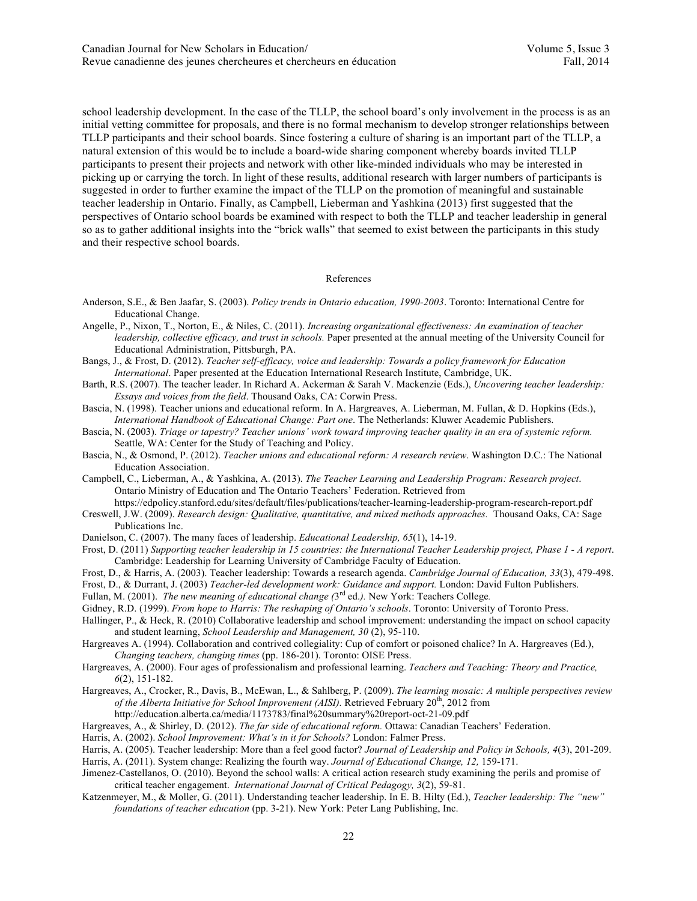school leadership development. In the case of the TLLP, the school board's only involvement in the process is as an initial vetting committee for proposals, and there is no formal mechanism to develop stronger relationships between TLLP participants and their school boards. Since fostering a culture of sharing is an important part of the TLLP, a natural extension of this would be to include a board-wide sharing component whereby boards invited TLLP participants to present their projects and network with other like-minded individuals who may be interested in picking up or carrying the torch. In light of these results, additional research with larger numbers of participants is suggested in order to further examine the impact of the TLLP on the promotion of meaningful and sustainable teacher leadership in Ontario. Finally, as Campbell, Lieberman and Yashkina (2013) first suggested that the perspectives of Ontario school boards be examined with respect to both the TLLP and teacher leadership in general so as to gather additional insights into the "brick walls" that seemed to exist between the participants in this study and their respective school boards.

#### References

- Anderson, S.E., & Ben Jaafar, S. (2003). *Policy trends in Ontario education, 1990-2003*. Toronto: International Centre for Educational Change.
- Angelle, P., Nixon, T., Norton, E., & Niles, C. (2011). *Increasing organizational effectiveness: An examination of teacher leadership, collective efficacy, and trust in schools.* Paper presented at the annual meeting of the University Council for Educational Administration, Pittsburgh, PA.
- Bangs, J., & Frost, D. (2012). *Teacher self-efficacy, voice and leadership: Towards a policy framework for Education International*. Paper presented at the Education International Research Institute, Cambridge, UK.
- Barth, R.S. (2007). The teacher leader. In Richard A. Ackerman & Sarah V. Mackenzie (Eds.), *Uncovering teacher leadership: Essays and voices from the field*. Thousand Oaks, CA: Corwin Press.
- Bascia, N. (1998). Teacher unions and educational reform. In A. Hargreaves, A. Lieberman, M. Fullan, & D. Hopkins (Eds.), *International Handbook of Educational Change: Part one*. The Netherlands: Kluwer Academic Publishers.
- Bascia, N. (2003). *Triage or tapestry? Teacher unions' work toward improving teacher quality in an era of systemic reform.* Seattle, WA: Center for the Study of Teaching and Policy.
- Bascia, N., & Osmond, P. (2012). *Teacher unions and educational reform: A research review*. Washington D.C.: The National Education Association.
- Campbell, C., Lieberman, A., & Yashkina, A. (2013). *The Teacher Learning and Leadership Program: Research project*. Ontario Ministry of Education and The Ontario Teachers' Federation. Retrieved from
- https://edpolicy.stanford.edu/sites/default/files/publications/teacher-learning-leadership-program-research-report.pdf Creswell, J.W. (2009). *Research design: Qualitative, quantitative, and mixed methods approaches.* Thousand Oaks, CA: Sage Publications Inc.
- Danielson, C. (2007). The many faces of leadership. *Educational Leadership, 65*(1), 14-19.
- Frost, D. (2011) *Supporting teacher leadership in 15 countries: the International Teacher Leadership project, Phase 1 - A report*. Cambridge: Leadership for Learning University of Cambridge Faculty of Education.
- Frost, D., & Harris, A. (2003). Teacher leadership: Towards a research agenda. *Cambridge Journal of Education, 33*(3), 479-498.
- Frost, D., & Durrant, J. (2003) *Teacher-led development work: Guidance and support.* London: David Fulton Publishers.
- Fullan, M. (2001). *The new meaning of educational change (*3rd ed.*).* New York: Teachers College*.*
- Gidney, R.D. (1999). *From hope to Harris: The reshaping of Ontario's schools*. Toronto: University of Toronto Press.
- Hallinger, P., & Heck, R. (2010) Collaborative leadership and school improvement: understanding the impact on school capacity and student learning, *School Leadership and Management, 30* (2), 95-110.
- Hargreaves A. (1994). Collaboration and contrived collegiality: Cup of comfort or poisoned chalice? In A. Hargreaves (Ed.), *Changing teachers, changing times* (pp. 186-201). Toronto: OISE Press.
- Hargreaves, A. (2000). Four ages of professionalism and professional learning. *Teachers and Teaching: Theory and Practice, 6*(2), 151-182.
- Hargreaves, A., Crocker, R., Davis, B., McEwan, L., & Sahlberg, P. (2009). *The learning mosaic: A multiple perspectives review of the Alberta Initiative for School Improvement (AISI).* Retrieved February 20<sup>th</sup>, 2012 from
	- http://education.alberta.ca/media/1173783/final%20summary%20report-oct-21-09.pdf

Hargreaves, A., & Shirley, D. (2012). *The far side of educational reform.* Ottawa: Canadian Teachers' Federation.

- Harris, A. (2002). *School Improvement: What's in it for Schools?* London: Falmer Press.
- Harris, A. (2005). Teacher leadership: More than a feel good factor? *Journal of Leadership and Policy in Schools, 4*(3), 201-209.

Harris, A. (2011). System change: Realizing the fourth way. *Journal of Educational Change, 12,* 159-171.

- Jimenez-Castellanos, O. (2010). Beyond the school walls: A critical action research study examining the perils and promise of critical teacher engagement. *International Journal of Critical Pedagogy, 3*(2), 59-81.
- Katzenmeyer, M., & Moller, G. (2011). Understanding teacher leadership. In E. B. Hilty (Ed.), *Teacher leadership: The "new" foundations of teacher education* (pp. 3-21). New York: Peter Lang Publishing, Inc.